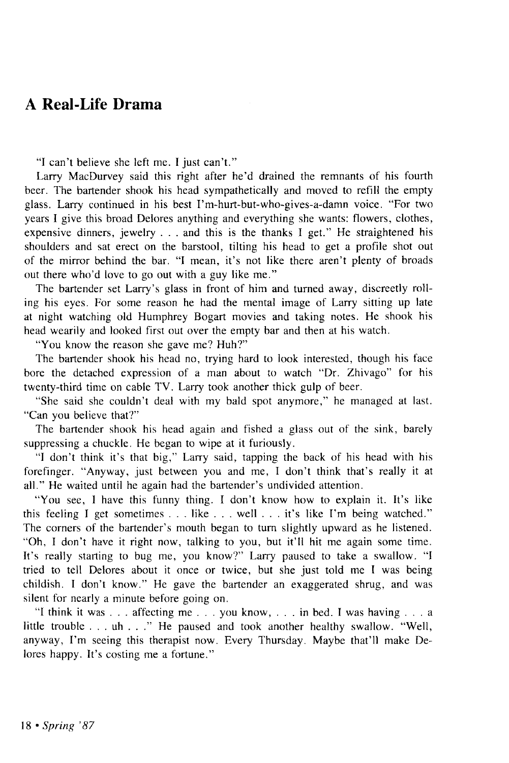## A Real-Life Drama

"I can't believe she left me. I just can't."

Larry MacDurvey said this right after he'd drained the remnants of his fourth beer. The bartender shook his head sympathetically and moved to refill the empty glass. Larry continued in his best I'm-hurt-but-who-gives-a-damn voice. "For two years I give this broad Delores anything and everything she wants: flowers, clothes, expensive dinners, jewelry . . . and this is the thanks I get." He straightened his shoulders and sat erect on the barstool, tilting his head to get a profile shot out of the mirror behind the bar. "I mean, it's not like there aren't plenty of broads out there who'd love to go out with a guy like me."

The bartender set Larry's glass in front of him and turned away, discreetly rolling his eyes. For some reason he had the mental image of Larry sitting up late at night watching old Humphrey Bogart movies and taking notes. He shook his head wearily and looked first out over the empty bar and then at his watch.

"You know the reason she gave me? Huh?"

The bartender shook his head no, trying hard to look interested, though his face bore the detached expression of a man about to watch "Dr. Zhivago" for his twenty-third time on cable TV. Larry took another thick gulp of beer.

"She said she couldn't deal with my bald spot anymore," he managed at last. "Can you believe that?"

The bartender shook his head again and fished a glass out of the sink, barely suppressing a chuckle. He began to wipe at it furiously.

"I don't think it's that big," Larry said, tapping the back of his head with his forefinger. "Anyway, just between you and me, I don't think that's really it at all." He waited until he again had the bartender's undivided attention.

"You see, I have this funny thing. I don't know how to explain it. It's like this feeling I get sometimes . . . like . . . well . . . it's like I'm being watched." The corners of the bartender's mouth began to turn slightly upward as he listened. "Oh, I don't have it right now, talking to you, but it'll hit me again some time. It's really starting to bug me, you know?" Larry paused to take a swallow. "I tried to tell Delores about it once or twice, but she just told me I was being childish. I don't know." He gave the bartender an exaggerated shrug, and was silent for nearly a minute before going on.

"I think it was . . . affecting me . . . you know, .. . in bed. I was having .. . a little trouble .. . uh ... " He paused and took another healthy swallow. "Well, anyway, I'm seeing this therapist now. Every Thursday. Maybe that'll make Delores happy. It's costing me a fortune."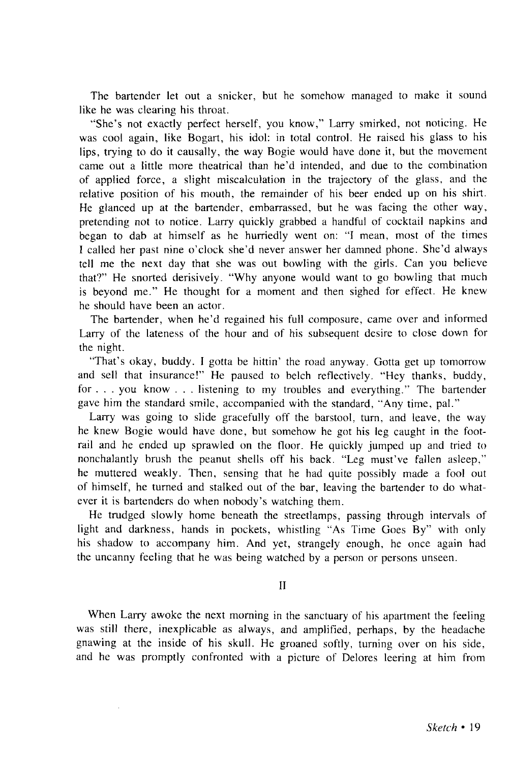The bartender let out a snicker, but he somehow managed to make it sound like he was clearing his throat.

"She's not exactly perfect herself, you know," Larry smirked, not noticing. He was cool again, like Bogart, his idol: in total control. He raised his glass to his lips, trying to do it causally, the way Bogie would have done it, but the movement came out a little more theatrical than he'd intended, and due to the combination of applied force, a slight miscalculation in the trajectory of the glass, and the relative position of his mouth, the remainder of his beer ended up on his shirt. He glanced up at the bartender, embarrassed, but he was facing the other way, pretending not to notice. Larry quickly grabbed a handful of cocktail napkins and began to dab at himself as he hurriedly went on: "I mean, most of the times I called her past nine o'clock she'd never answer her damned phone. She'd always tell me the next day that she was out bowling with the girls. Can you believe that?" He snorted derisively. "Why anyone would want to go bowling that much is beyond me." He thought for a moment and then sighed for effect. He knew he should have been an actor.

The bartender, when he'd regained his full composure, came over and informed Larry of the lateness of the hour and of his subsequent desire to close down for the night.

"That's okay, buddy. I gotta be hittin' the road anyway. Gotta get up tomorrow and sell that insurance!" He paused to belch reflectively. "Hey thanks, buddy, for . . . you know . . . listening to my troubles and everything." The bartender gave him the standard smile, accompanied with the standard, "Any time, pal."

Larry was going to slide gracefully off the barstool, turn, and leave, the way he knew Bogie would have done, but somehow he got his leg caught in the footrail and he ended up sprawled on the floor. He quickly jumped up and tried to nonchalantly brush the peanut shells off his back. "Leg must've fallen asleep," he muttered weakly. Then, sensing that he had quite possibly made a fool out of himself, he turned and stalked out of the bar, leaving the bartender to do whatever it is bartenders do when nobody's watching them.

He trudged slowly home beneath the streetlamps, passing through intervals of light and darkness, hands in pockets, whistling "As Time Goes By" with only his shadow to accompany him. And yet, strangely enough, he once again had the uncanny feeling that he was being watched by a person or persons unseen.

II

When Larry awoke the next morning in the sanctuary of his apartment the feeling was still there, inexplicable as always, and amplified, perhaps, by the headache gnawing at the inside of his skull. He groaned softly, turning over on his side, and he was promptly confronted with a picture of Delores leering at him from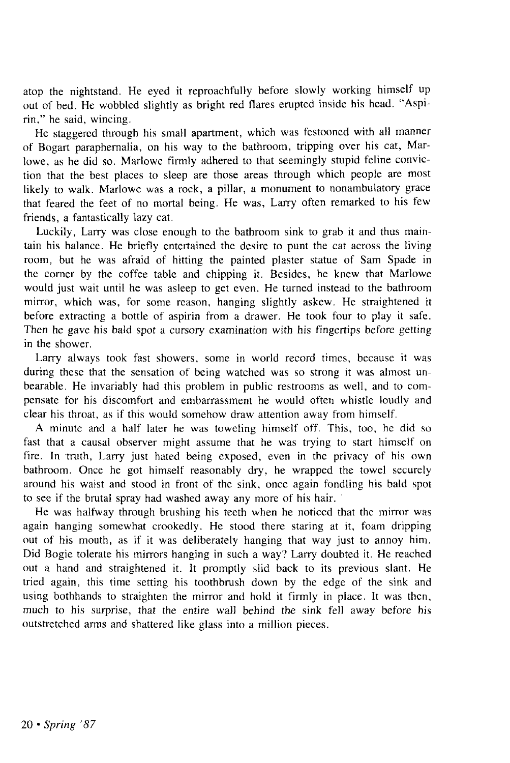atop the nightstand. He eyed it reproachfully before slowly working himself up out of bed. He wobbled slightly as bright red flares erupted inside his head. "Aspirin," he said, wincing.

He staggered through his small apartment, which was festooned with all manner of Bogart paraphernalia, on his way to the bathroom, tripping over his cat, Marlowe, as he did so. Marlowe firmly adhered to that seemingly stupid feline conviction that the best places to sleep are those areas through which people are most likely to walk. Marlowe was a rock, a pillar, a monument to nonambulatory grace that feared the feet of no mortal being. He was, Larry often remarked to his few friends, a fantastically lazy cat.

Luckily, Larry was close enough to the bathroom sink to grab it and thus maintain his balance. He briefly entertained the desire to punt the cat across the living room, but he was afraid of hitting the painted plaster statue of Sam Spade in the corner by the coffee table and chipping it. Besides, he knew that Marlowe would just wait until he was asleep to get even. He turned instead to the bathroom mirror, which was, for some reason, hanging slightly askew. He straightened it before extracting a bottle of aspirin from a drawer. He took four to play it safe. Then he gave his bald spot a cursory examination with his fingertips before getting in the shower.

Larry always took fast showers, some in world record times, because it was during these that the sensation of being watched was so strong it was almost unbearable. He invariably had this problem in public restrooms as well, and to compensate for his discomfort and embarrassment he would often whistle loudly and clear his throat, as if this would somehow draw attention away from himself.

A minute and a half later he was toweling himself off. This, too, he did so fast that a causal observer might assume that he was trying to start himself on fire. In truth, Larry just hated being exposed, even in the privacy of his own bathroom. Once he got himself reasonably dry, he wrapped the towel securely around his waist and stood in front of the sink, once again fondling his bald spot to see if the brutal spray had washed away any more of his hair.

He was halfway through brushing his teeth when he noticed that the mirror was again hanging somewhat crookedly. He stood there staring at it, foam dripping out of his mouth, as if it was deliberately hanging that way just to annoy him. Did Bogie tolerate his mirrors hanging in such a way? Larry doubted it. He reached out a hand and straightened it. It promptly slid back to its previous slant. He tried again, this time setting his toothbrush down by the edge of the sink and using bothhands to straighten the mirror and hold it firmly in place. It was then, much to his surprise, that the entire wall behind the sink fell away before his outstretched arms and shattered like glass into a million pieces.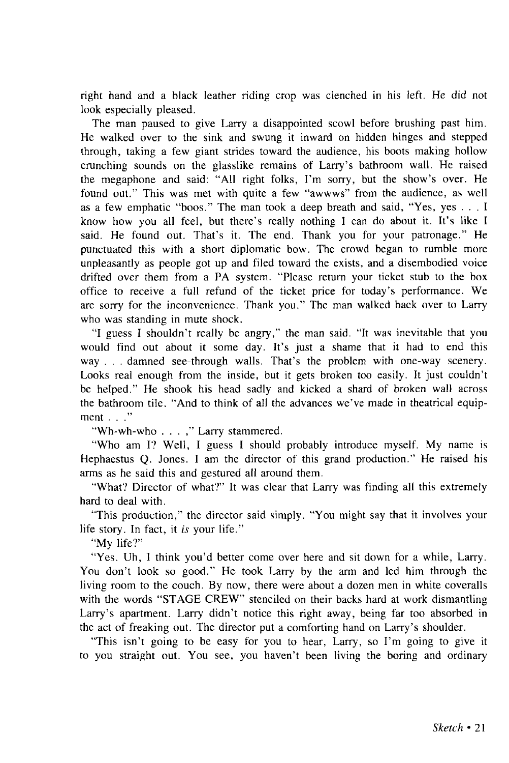right hand and a black leather riding crop was clenched in his left. He did not look especially pleased.

The man paused to give Larry a disappointed scowl before brushing past him. He walked over to the sink and swung it inward on hidden hinges and stepped through, taking a few giant strides toward the audience, his boots making hollow crunching sounds on the glasslike remains of Larry's bathroom wall. He raised the megaphone and said: "All right folks, I'm sorry, but the show's over. He found out." This was met with quite a few "awwws" from the audience, as well as a few emphatic "boos." The man took a deep breath and said, "Yes, yes .. . I know how you all feel, but there's really nothing I can do about it. It's like I said. He found out. That's it. The end. Thank you for your patronage." He punctuated this with a short diplomatic bow. The crowd began to rumble more unpleasantly as people got up and filed toward the exists, and a disembodied voice drifted over them from a PA system. "Please return your ticket stub to the box office to receive a full refund of the ticket price for today's performance. We are sorry for the inconvenience. Thank you." The man walked back over to Larry who was standing in mute shock.

"I guess I shouldn't really be angry," the man said. "It was inevitable that you would find out about it some day. It's just a shame that it had to end this way . . . damned see-through walls. That's the problem with one-way scenery. Looks real enough from the inside, but it gets broken too easily. It just couldn't be helped." He shook his head sadly and kicked a shard of broken wall across the bathroom tile. "And to think of all the advances we've made in theatrical equipment . . ."

"Wh-wh-who . . . ," Larry stammered.

"Who am I? Well, I guess I should probably introduce myself. My name is Hephaestus Q. Jones. I am the director of this grand production." He raised his arms as he said this and gestured all around them.

"What? Director of what?" It was clear that Larry was finding all this extremely hard to deal with.

"This production," the director said simply. "You might say that it involves your life story. In fact, it *is* your life."

"My life?"

"Yes. Uh, I think you'd better come over here and sit down for a while, Larry. You don't look so good." He took Larry by the arm and led him through the living room to the couch. By now, there were about a dozen men in white coveralls with the words "STAGE CREW" stenciled on their backs hard at work dismantling Larry's apartment. Larry didn't notice this right away, being far too absorbed in the act of freaking out. The director put a comforting hand on Larry's shoulder.

"This isn't going to be easy for you to hear, Larry, so I'm going to give it to you straight out. You see, you haven't been living the boring and ordinary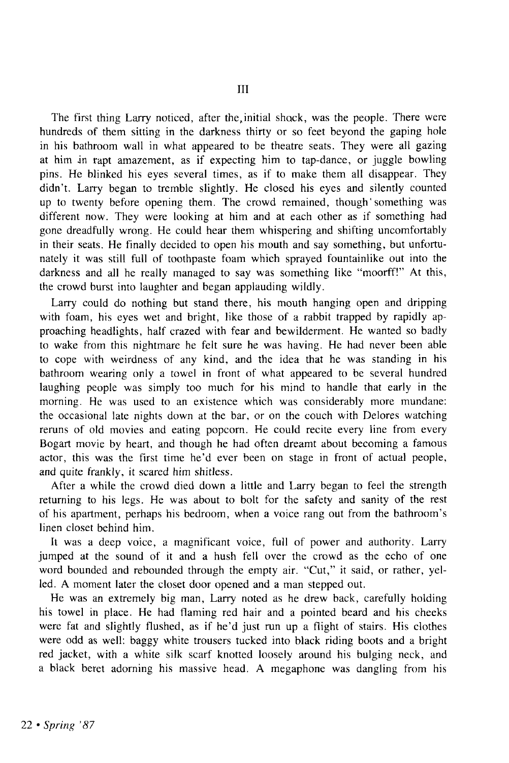The first thing Larry noticed, after the,initial shock, was the people. There were hundreds of them sitting in the darkness thirty or so feet beyond the gaping hole in his bathroom wall in what appeared to be theatre seats. They were all gazing at him in rapt amazement, as if expecting him to tap-dance, or juggle bowling pins. He blinked his eyes several times, as if to make them all disappear. They didn't. Larry began to tremble slightly. He closed his eyes and silently counted up to twenty before opening them. The crowd remained, though'something was different now. They were looking at him and at each other as if something had gone dreadfully wrong. He could hear them whispering and shifting uncomfortably in their seats. He finally decided to open his mouth and say something, but unfortunately it was still full of toothpaste foam which sprayed fountainlike out into the darkness and all he really managed to say was something like "moorff!" At this, the crowd burst into laughter and began applauding wildly.

Larry could do nothing but stand there, his mouth hanging open and dripping with foam, his eyes wet and bright, like those of a rabbit trapped by rapidly approaching headlights, half crazed with fear and bewilderment. He wanted so badly to wake from this nightmare he felt sure he was having. He had never been able to cope with weirdness of any kind, and the idea that he was standing in his bathroom wearing only a towel in front of what appeared to be several hundred laughing people was simply too much for his mind to handle that early in the morning. He was used to an existence which was considerably more mundane: the occasional late nights down at the bar, or on the couch with Delores watching reruns of old movies and eating popcorn. He could recite every line from every Bogart movie by heart, and though he had often dreamt about becoming a famous actor, this was the first time he'd ever been on stage in front of actual people, and quite frankly, it scared him shitless.

After a while the crowd died down a little and Larry began to feel the strength returning to his legs. He was about to bolt for the safety and sanity of the rest of his apartment, perhaps his bedroom, when a voice rang out from the bathroom's linen closet behind him.

It was a deep voice, a magnificant voice, full of power and authority. Larry jumped at the sound of it and a hush fell over the crowd as the echo of one word bounded and rebounded through the empty air. "Cut," it said, or rather, yelled. A moment later the closet door opened and a man stepped out.

He was an extremely big man, Larry noted as he drew back, carefully holding his towel in place. He had flaming red hair and a pointed beard and his cheeks were fat and slightly flushed, as if he'd just run up a flight of stairs. His clothes were odd as well: baggy white trousers tucked into black riding boots and a bright red jacket, with a white silk scarf knotted loosely around his bulging neck, and a black beret adorning his massive head. A megaphone was dangling from his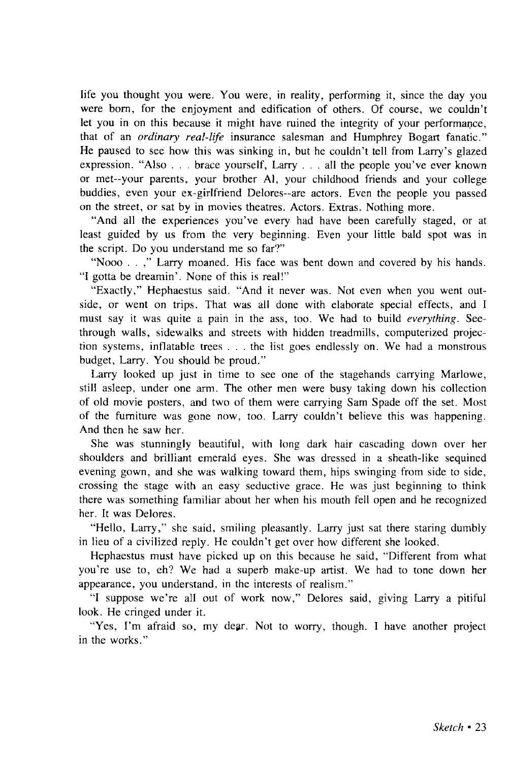life you thought you were. You were, in reality, performing it, since the day you were born, for the enjoyment and edification of others. Of course, we couldn't let you in on this because it might have ruined the integrity of your performance, that of an *ordinary real-life* insurance salesman and Humphrey Bogart fanatic." He paused to see how this was sinking in, but he couldn't tell from Larry's glazed expression. "Also . . . brace yourself, Larry .. . all the people you've ever known or met-your parents, your brother Al, your childhood friends and your college buddies, even your ex-girlfriend Delores—are actors. Even the people you passed on the street, or sat by in movies theatres. Actors. Extras. Nothing more.

"And all the experiences you've every had have been carefully staged, or at least guided by us from the very beginning. Even your little bald spot was in the script. Do you understand me so far?"

"Nooo . . ," Larry moaned. His face was bent down and covered by his hands. "I gotta be dreamin'. None of this is real!"

"Exactly," Hephaestus said. "And it never was. Not even when you went outside, or went on trips. That was all done with elaborate special effects, and I must say it was quite a pain in the ass, too. We had to build *everything.* Seethrough walls, sidewalks and streets with hidden treadmills, computerized projection systems, inflatable trees . . . the list goes endlessly on. We had a monstrous budget, Larry. You should be proud."

Larry looked up just in time to see one of the stagehands carrying Marlowe, still asleep, under one arm. The other men were busy taking down his collection of old movie posters, and two of them were carrying Sam Spade off the set. Most of the furniture was gone now, too. Larry couldn't believe this was happening. And then he saw her.

She was stunningly beautiful, with long dark hair cascading down over her shoulders and brilliant emerald eyes. She was dressed in a sheath-like sequined evening gown, and she was walking toward them, hips swinging from side to side, crossing the stage with an easy seductive grace. He was just beginning to think there was something familiar about her when his mouth fell open and he recognized her. It was Delores.

"Hello, Larry," she said, smiling pleasantly. Larry just sat there staring dumbly in lieu of a civilized reply. He couldn't get over how different she looked.

Hephaestus must have picked up on this because he said, "Different from what you're use to, eh? We had a superb make-up artist. We had to tone down her appearance, you understand, in the interests of realism."

"I suppose we're all out of work now," Delores said, giving Larry a pitiful look. He cringed under it.

"Yes, I'm afraid so, my dear. Not to worry, though. I have another project in the works."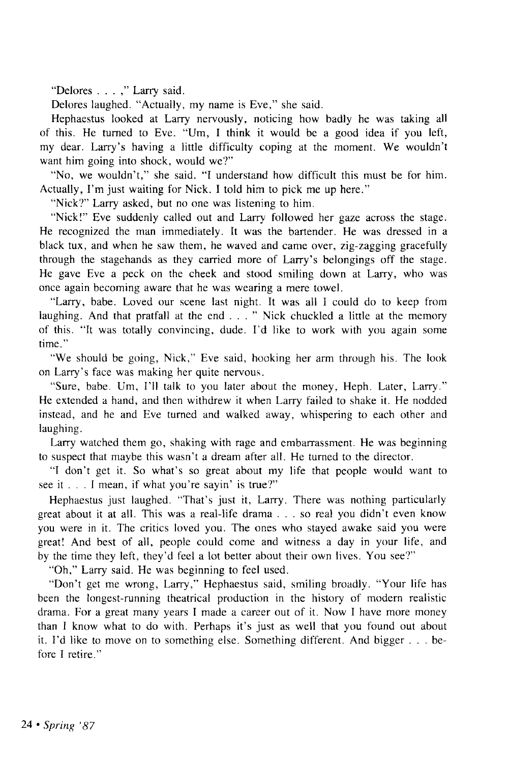"Delores . . . ," Larry said.

Delores laughed. "Actually, my name is Eve," she said.

Hephaestus looked at Larry nervously, noticing how badly he was taking all of this. He turned to Eve. "Um, I think it would be a good idea if you left, my dear. Larry's having a little difficulty coping at the moment. We wouldn't want him going into shock, would we?"

"No, we wouldn't," she said. "I understand how difficult this must be for him. Actually, I'm just waiting for Nick. I told him to pick me up here."

"Nick?" Larry asked, but no one was listening to him.

"Nick!" Eve suddenly called out and Larry followed her gaze across the stage. He recognized the man immediately. It was the bartender. He was dressed in a black tux, and when he saw them, he waved and came over, zig-zagging gracefully through the stagehands as they carried more of Larry's belongings off the stage. He gave Eve a peck on the cheek and stood smiling down at Larry, who was once again becoming aware that he was wearing a mere towel.

"Larry, babe. Loved our scene last night. It was all I could do to keep from laughing. And that pratfall at the end . . . " Nick chuckled a little at the memory of this. "It was totally convincing, dude. I'd like to work with you again some time."

"We should be going, Nick," Eve said, hooking her arm through his. The look on Larry's face was making her quite nervous.

"Sure, babe. Um, I'll talk to you later about the money, Heph. Later, Larry." He extended a hand, and then withdrew it when Larry failed to shake it. He nodded instead, and he and Eve turned and walked away, whispering to each other and laughing.

Larry watched them go, shaking with rage and embarrassment. He was beginning to suspect that maybe this wasn't a dream after all. He turned to the director.

"I don't get it. So what's so great about my life that people would want to see it . . . I mean, if what you're sayin' is true?"

Hephaestus just laughed. "That's just it, Larry. There was nothing particularly great about it at all. This was a real-life drama .. . so real you didn't even know you were in it. The critics loved you. The ones who stayed awake said you were great! And best of all, people could come and witness a day in your life, and by the time they left, they'd feel a lot better about their own lives. You see?"

"Oh," Larry said. He was beginning to feel used.

"Don't get me wrong, Larry," Hephaestus said, smiling broadly. "Your life has been the longest-running theatrical production in the history of modern realistic drama. For a great many years I made a career out of it. Now I have more money than I know what to do with. Perhaps it's just as well that you found out about it. I'd like to move on to something else. Something different. And bigger . . . before I retire."